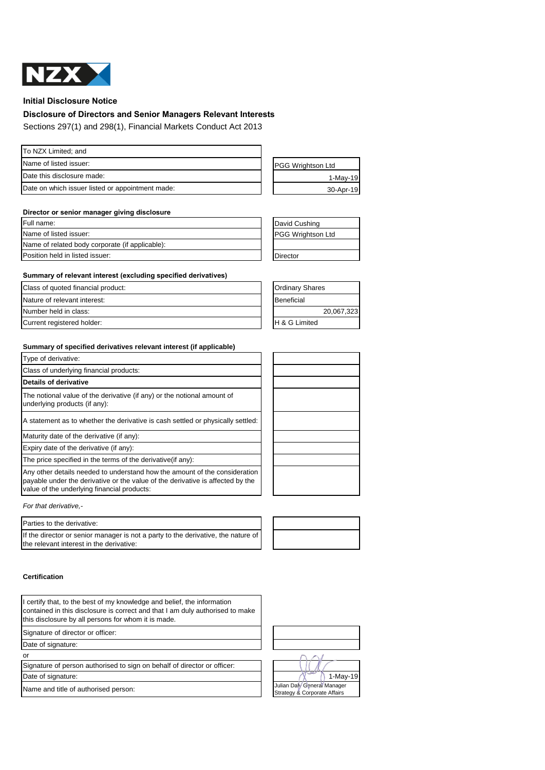

**Initial Disclosure Notice**

# **Disclosure of Directors and Senior Managers Relevant Interests**

Sections 297(1) and 298(1), Financial Markets Conduct Act 2013

| To NZX Limited; and                              |                          |
|--------------------------------------------------|--------------------------|
| Name of listed issuer:                           | <b>PGG Wrightson Ltd</b> |
| Date this disclosure made:                       | $1-Mav-19$               |
| Date on which issuer listed or appointment made: | 30-Apr-19                |

### **Director or senior manager giving disclosure**

| Full name:                                      | David Cushing            |  |
|-------------------------------------------------|--------------------------|--|
| Name of listed issuer:                          | <b>PGG Wrightson Ltd</b> |  |
| Name of related body corporate (if applicable): |                          |  |
| Position held in listed issuer:                 | Director                 |  |

## **Summary of relevant interest (excluding specified derivatives)**

| Class of quoted financial product: | <b>Ordinary Shares</b>   |            |
|------------------------------------|--------------------------|------------|
| Nature of relevant interest:       | Beneficial               |            |
| Number held in class:              |                          | 20,067,323 |
| Current registered holder:         | <b>H &amp; G Limited</b> |            |

#### **Summary of specified derivatives relevant interest (if applicable)**

| Type of derivative:                                                                                                                                                                                         |  |
|-------------------------------------------------------------------------------------------------------------------------------------------------------------------------------------------------------------|--|
| Class of underlying financial products:                                                                                                                                                                     |  |
| Details of derivative                                                                                                                                                                                       |  |
| The notional value of the derivative (if any) or the notional amount of<br>underlying products (if any):                                                                                                    |  |
| A statement as to whether the derivative is cash settled or physically settled:                                                                                                                             |  |
| Maturity date of the derivative (if any):                                                                                                                                                                   |  |
| Expiry date of the derivative (if any):                                                                                                                                                                     |  |
| The price specified in the terms of the derivative (if any):                                                                                                                                                |  |
| Any other details needed to understand how the amount of the consideration<br>payable under the derivative or the value of the derivative is affected by the<br>value of the underlying financial products: |  |
| For that derivative,-                                                                                                                                                                                       |  |

#### Parties to the derivative:

If the director or senior manager is not a party to the derivative, the nature of the relevant interest in the derivative:

### **Certification**

I certify that, to the best of my knowledge and belief, the information contained in this disclosure is correct and that I am duly authorised to make this disclosure by all persons for whom it is made.

Signature of director or officer:

Date of signature:

or

Signature of person authorised to sign on behalf of director or officer: Date of signature:  $\bigcap_{n=1}^{\infty}$  1-May-19







Name and title of authorised person:<br>Name and title of authorised person: Julian Daly General Manager Strategy & Corporate Affairs